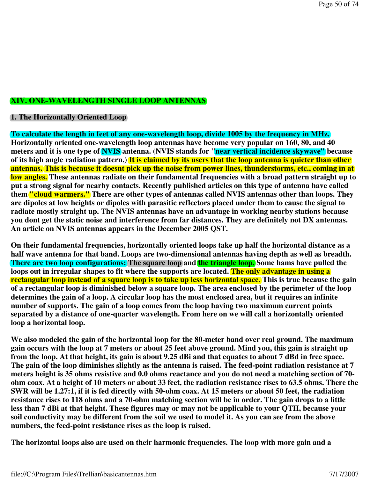## **XIV. ONE-WAVELENGTH SINGLE LOOP ANTENNAS**

## **1. The Horizontally Oriented Loop**

**To calculate the length in feet of any one-wavelength loop, divide 1005 by the frequency in MHz. Horizontally oriented one-wavelength loop antennas have become very popular on 160, 80, and 40 meters and it is one type of NVIS antenna. (NVIS stands for "near vertical incidence skywave" because of its high angle radiation pattern.) It is claimed by its users that the loop antenna is quieter than other antennas. This is because it doesnt pick up the noise from power lines, thunderstorms, etc., coming in at low angles. These antennas radiate on their fundamental frequencies with a broad pattern straight up to put a strong signal for nearby contacts. Recently published articles on this type of antenna have called them "cloud warmers." There are other types of antennas called NVIS antennas other than loops. They are dipoles at low heights or dipoles with parasitic reflectors placed under them to cause the signal to radiate mostly straight up. The NVIS antennas have an advantage in working nearby stations because you dont get the static noise and interference from far distances. They are definitely not DX antennas. An article on NVIS antennas appears in the December 2005 QST.**

**On their fundamental frequencies, horizontally oriented loops take up half the horizontal distance as a half wave antenna for that band. Loops are two-dimensional antennas having depth as well as breadth. There are two loop configurations: The square loop and the triangle loop.** Some hams have pulled the **loops out in irregular shapes to fit where the supports are located. The only advantage in using a rectangular loop instead of a square loop is to take up less horizontal space. This is true because the gain of a rectangular loop is diminished below a square loop. The area enclosed by the perimeter of the loop determines the gain of a loop. A circular loop has the most enclosed area, but it requires an infinite number of supports. The gain of a loop comes from the loop having two maximum current points separated by a distance of one-quarter wavelength. From here on we will call a horizontally oriented loop a horizontal loop.** 

**We also modeled the gain of the horizontal loop for the 80-meter band over real ground. The maximum gain occurs with the loop at 7 meters or about 25 feet above ground. Mind you, this gain is straight up from the loop. At that height, its gain is about 9.25 dBi and that equates to about 7 dBd in free space. The gain of the loop diminishes slightly as the antenna is raised. The feed-point radiation resistance at 7 meters height is 35 ohms resistive and 0.0 ohms reactance and you do not need a matching section of 70 ohm coax. At a height of 10 meters or about 33 feet, the radiation resistance rises to 63.5 ohms. There the SWR will be 1.27:1, if it is fed directly with 50-ohm coax. At 15 meters or about 50 feet, the radiation resistance rises to 118 ohms and a 70-ohm matching section will be in order. The gain drops to a little less than 7 dBi at that height. These figures may or may not be applicable to your QTH, because your soil conductivity may be different from the soil we used to model it. As you can see from the above numbers, the feed-point resistance rises as the loop is raised.**

**The horizontal loops also are used on their harmonic frequencies. The loop with more gain and a**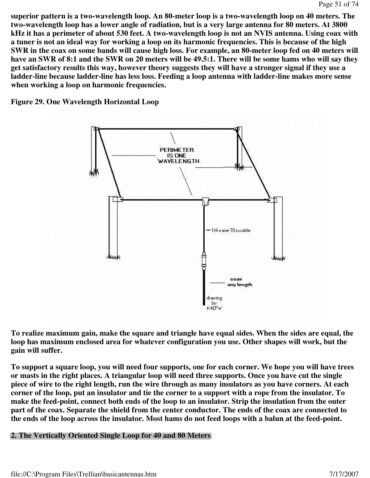**superior pattern is a two-wavelength loop. An 80-meter loop is a two-wavelength loop on 40 meters. The two-wavelength loop has a lower angle of radiation, but is a very large antenna for 80 meters. At 3800 kHz it has a perimeter of about 530 feet. A two-wavelength loop is not an NVIS antenna. Using coax with a tuner is not an ideal way for working a loop on its harmonic frequencies. This is because of the high SWR in the coax on some bands will cause high loss. For example, an 80-meter loop fed on 40 meters will have an SWR of 8:1 and the SWR on 20 meters will be 49.5:1. There will be some hams who will say they get satisfactory results this way, however theory suggests they will have a stronger signal if they use a ladder-line because ladder-line has less loss. Feeding a loop antenna with ladder-line makes more sense when working a loop on harmonic frequencies.**

**Figure 29. One Wavelength Horizontal Loop**



**To realize maximum gain, make the square and triangle have equal sides. When the sides are equal, the loop has maximum enclosed area for whatever configuration you use. Other shapes will work, but the gain will suffer.** 

**To support a square loop, you will need four supports, one for each corner. We hope you will have trees or masts in the right places. A triangular loop will need three supports. Once you have cut the single piece of wire to the right length, run the wire through as many insulators as you have corners. At each corner of the loop, put an insulator and tie the corner to a support with a rope from the insulator. To make the feed-point, connect both ends of the loop to an insulator. Strip the insulation from the outer part of the coax. Separate the shield from the center conductor. The ends of the coax are connected to the ends of the loop across the insulator. Most hams do not feed loops with a balun at the feed-point.**

## **2. The Vertically Oriented Single Loop for 40 and 80 Meters**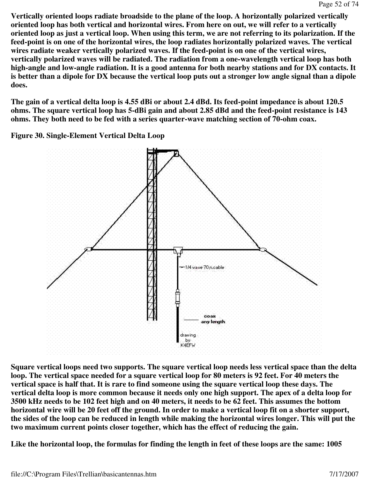**Vertically oriented loops radiate broadside to the plane of the loop. A horizontally polarized vertically oriented loop has both vertical and horizontal wires. From here on out, we will refer to a vertically oriented loop as just a vertical loop. When using this term, we are not referring to its polarization. If the feed-point is on one of the horizontal wires, the loop radiates horizontally polarized waves. The vertical wires radiate weaker vertically polarized waves. If the feed-point is on one of the vertical wires, vertically polarized waves will be radiated. The radiation from a one-wavelength vertical loop has both high-angle and low-angle radiation. It is a good antenna for both nearby stations and for DX contacts. It is better than a dipole for DX because the vertical loop puts out a stronger low angle signal than a dipole does.** 

**The gain of a vertical delta loop is 4.55 dBi or about 2.4 dBd. Its feed-point impedance is about 120.5 ohms. The square vertical loop has 5-dBi gain and about 2.85 dBd and the feed-point resistance is 143 ohms. They both need to be fed with a series quarter-wave matching section of 70-ohm coax.**

**Figure 30. Single-Element Vertical Delta Loop** 



**Square vertical loops need two supports. The square vertical loop needs less vertical space than the delta loop. The vertical space needed for a square vertical loop for 80 meters is 92 feet. For 40 meters the vertical space is half that. It is rare to find someone using the square vertical loop these days. The vertical delta loop is more common because it needs only one high support. The apex of a delta loop for 3500 kHz needs to be 102 feet high and on 40 meters, it needs to be 62 feet. This assumes the bottom horizontal wire will be 20 feet off the ground. In order to make a vertical loop fit on a shorter support, the sides of the loop can be reduced in length while making the horizontal wires longer. This will put the two maximum current points closer together, which has the effect of reducing the gain.** 

**Like the horizontal loop, the formulas for finding the length in feet of these loops are the same: 1005**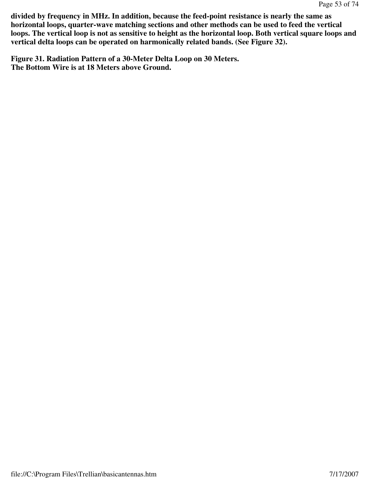**divided by frequency in MHz. In addition, because the feed-point resistance is nearly the same as horizontal loops, quarter-wave matching sections and other methods can be used to feed the vertical loops. The vertical loop is not as sensitive to height as the horizontal loop. Both vertical square loops and vertical delta loops can be operated on harmonically related bands. (See Figure 32).** 

**Figure 31. Radiation Pattern of a 30-Meter Delta Loop on 30 Meters. The Bottom Wire is at 18 Meters above Ground.**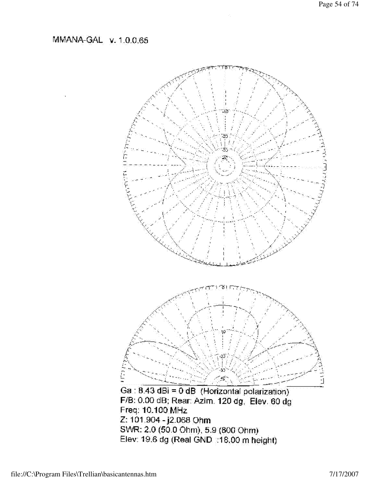MMANA-GAL v. 1.0.0.65

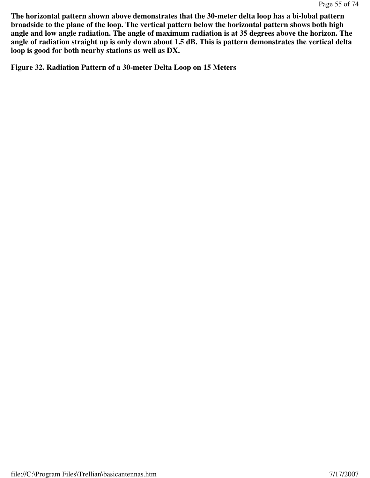**The horizontal pattern shown above demonstrates that the 30-meter delta loop has a bi-lobal pattern broadside to the plane of the loop. The vertical pattern below the horizontal pattern shows both high angle and low angle radiation. The angle of maximum radiation is at 35 degrees above the horizon. The angle of radiation straight up is only down about 1.5 dB. This is pattern demonstrates the vertical delta loop is good for both nearby stations as well as DX.**

**Figure 32. Radiation Pattern of a 30-meter Delta Loop on 15 Meters**